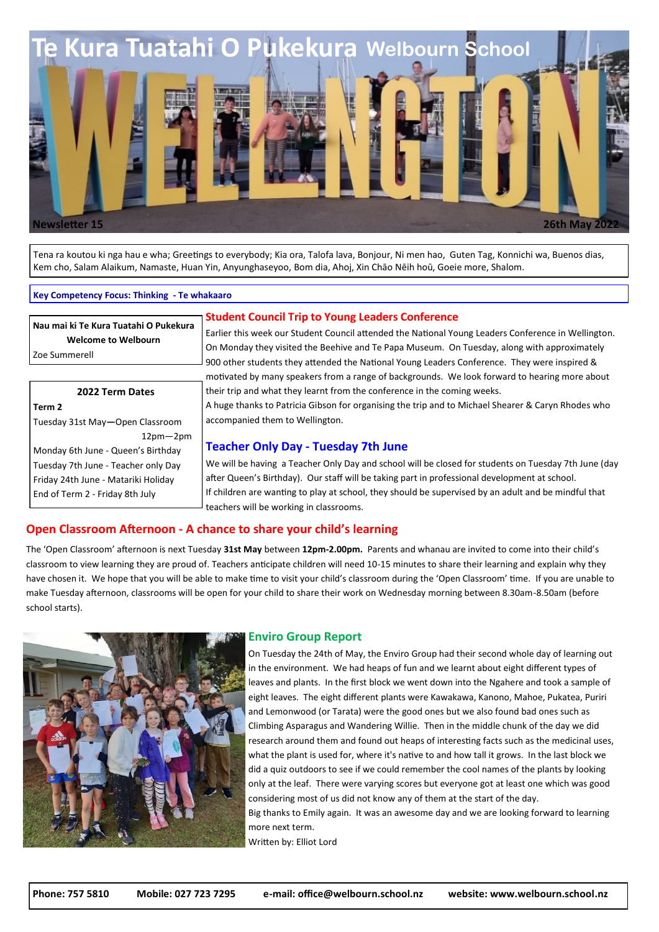

Tena ra koutou ki nga hau e wha; Greetings to everybody; Kia ora, Talofa lava, Bonjour, Ni men hao, Guten Tag, Konnichi wa, Buenos dias, Kem cho, Salam Alaikum, Namaste, Huan Yin, Anyunghaseyoo, Bom dia, Ahoj, Xin Chāo Nēih hoū, Goeie more, Shalom.

#### **Key Competency Focus: Thinking - Te whakaaro**

**Nau mai ki Te Kura Tuatahi O Pukekura Welcome to Welbourn** 

Zoe Summerell

**2022 Term Dates Term 2** Tuesday 31st May**—**Open Classroom 12pm—2pm Monday 6th June - Queen's Birthday Tuesday 7th June - Teacher only Day Friday 24th June - Matariki Holiday End of Term 2 - Friday 8th July

### **Student Council Trip to Young Leaders Conference**

Earlier this week our Student Council attended the National Young Leaders Conference in Wellington. On Monday they visited the Beehive and Te Papa Museum. On Tuesday, along with approximately 900 other students they attended the National Young Leaders Conference. They were inspired & motivated by many speakers from a range of backgrounds. We look forward to hearing more about their trip and what they learnt from the conference in the coming weeks.

A huge thanks to Patricia Gibson for organising the trip and to Michael Shearer & Caryn Rhodes who accompanied them to Wellington.

### **Teacher Only Day - Tuesday 7th June**

We will be having a Teacher Only Day and school will be closed for students on Tuesday 7th June (day after Queen's Birthday). Our staff will be taking part in professional development at school. If children are wanting to play at school, they should be supervised by an adult and be mindful that teachers will be working in classrooms.

### **Open Classroom Afternoon - A chance to share your child's learning**

The 'Open Classroom' afternoon is next Tuesday **31st May** between **12pm-2.00pm.** Parents and whanau are invited to come into their child's classroom to view learning they are proud of. Teachers anticipate children will need 10-15 minutes to share their learning and explain why they have chosen it. We hope that you will be able to make time to visit your child's classroom during the 'Open Classroom' time. If you are unable to make Tuesday afternoon, classrooms will be open for your child to share their work on Wednesday morning between 8.30am-8.50am (before school starts).



#### **Enviro Group Report**

On Tuesday the 24th of May, the Enviro Group had their second whole day of learning out in the environment. We had heaps of fun and we learnt about eight different types of leaves and plants. In the first block we went down into the Ngahere and took a sample of eight leaves. The eight different plants were Kawakawa, Kanono, Mahoe, Pukatea, Puriri and Lemonwood (or Tarata) were the good ones but we also found bad ones such as Climbing Asparagus and Wandering Willie. Then in the middle chunk of the day we did research around them and found out heaps of interesting facts such as the medicinal uses, what the plant is used for, where it's native to and how tall it grows. In the last block we did a quiz outdoors to see if we could remember the cool names of the plants by looking only at the leaf. There were varying scores but everyone got at least one which was good considering most of us did not know any of them at the start of the day. Big thanks to Emily again. It was an awesome day and we are looking forward to learning

Written by: Elliot Lord

more next term.